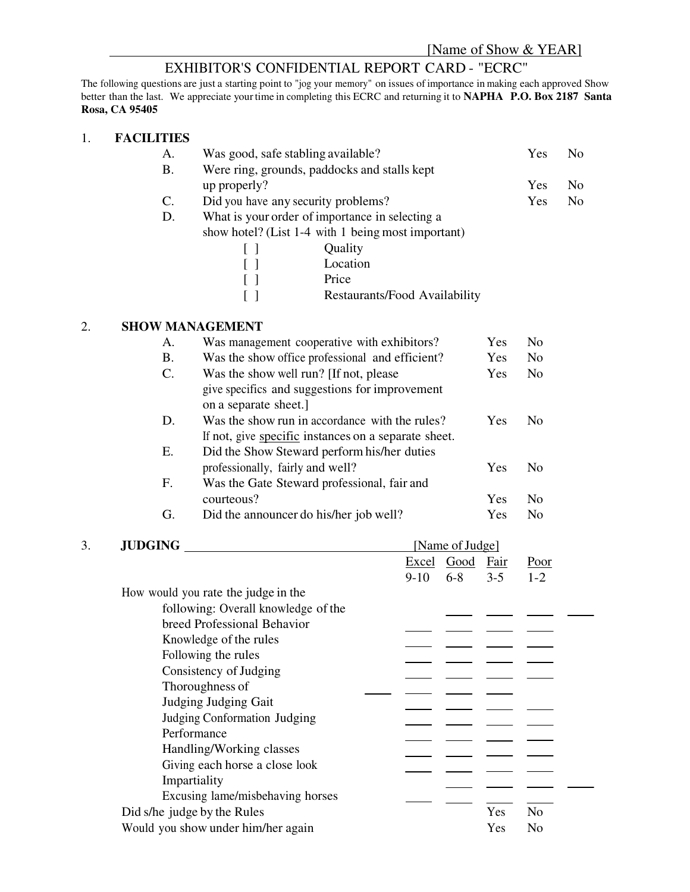# EXHIBITOR'S CONFIDENTIAL REPORT CARD - "ECRC"

The following questions are just a starting point to "jog your memory" on issues of importance in making each approved Show better than the last. We appreciate your time in completing this ECRC and returning it to **NAPHA P.O. Box 2187 Santa Rosa, CA 95405**

#### 1. **FACILITIES**

|    | А.                     | Was good, safe stabling available?                 | Yes                                 | No.        |     |  |  |  |
|----|------------------------|----------------------------------------------------|-------------------------------------|------------|-----|--|--|--|
|    | Β.                     | Were ring, grounds, paddocks and stalls kept       |                                     |            |     |  |  |  |
|    |                        | up properly?                                       |                                     | Yes        | No. |  |  |  |
|    | C.                     |                                                    | Did you have any security problems? | <b>Yes</b> | No. |  |  |  |
|    | D.                     | What is your order of importance in selecting a    |                                     |            |     |  |  |  |
|    |                        | show hotel? (List 1-4 with 1 being most important) |                                     |            |     |  |  |  |
|    |                        |                                                    | Quality                             |            |     |  |  |  |
|    |                        |                                                    | Location                            |            |     |  |  |  |
|    |                        |                                                    | Price                               |            |     |  |  |  |
|    |                        |                                                    | Restaurants/Food Availability       |            |     |  |  |  |
| 2. | <b>SHOW MANAGEMENT</b> |                                                    |                                     |            |     |  |  |  |

## A. Was management cooperative with exhibitors? Yes No B. Was the show office professional and efficient? Yes No C. Was the show well run? [If not, please Yes No give specifics and suggestions for improvement on a separate sheet.] D. Was the show run in accordance with the rules? Yes No If not, give specific instances on a separate sheet. E. Did the Show Steward perform his/her duties professionally, fairly and well? Yes No F. Was the Gate Steward professional, fair and courteous? Yes No G. Did the announcer do his/her job well? Yes No

| 3. | <b>JUDGING</b>                      | [Name of Judge] |        |            |             |                |
|----|-------------------------------------|-----------------|--------|------------|-------------|----------------|
|    |                                     |                 |        | Excel Good | <b>Fair</b> | Poor           |
|    |                                     |                 | $9-10$ | $6 - 8$    | $3 - 5$     | $1 - 2$        |
|    | How would you rate the judge in the |                 |        |            |             |                |
|    | following: Overall knowledge of the |                 |        |            |             |                |
|    | breed Professional Behavior         |                 |        |            |             |                |
|    | Knowledge of the rules              |                 |        |            |             |                |
|    | Following the rules                 |                 |        |            |             |                |
|    | Consistency of Judging              |                 |        |            |             |                |
|    | Thoroughness of                     |                 |        |            |             |                |
|    | Judging Judging Gait                |                 |        |            |             |                |
|    | Judging Conformation Judging        |                 |        |            |             |                |
|    | Performance                         |                 |        |            |             |                |
|    | Handling/Working classes            |                 |        |            |             |                |
|    | Giving each horse a close look      |                 |        |            |             |                |
|    | Impartiality                        |                 |        |            |             |                |
|    | Excusing lame/misbehaving horses    |                 |        |            |             |                |
|    | Did s/he judge by the Rules         |                 |        |            | Yes         | N <sub>o</sub> |
|    | Would you show under him/her again  |                 |        |            | Yes         | No             |